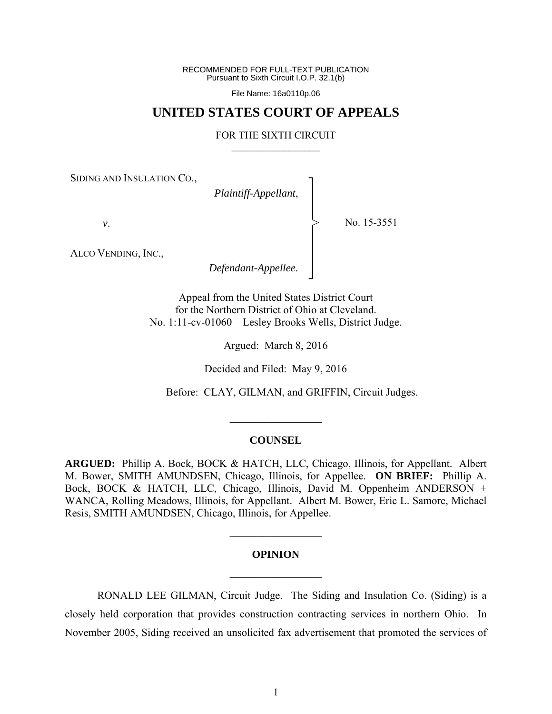RECOMMENDED FOR FULL-TEXT PUBLICATION Pursuant to Sixth Circuit I.O.P. 32.1(b)

File Name: 16a0110p.06

## **UNITED STATES COURT OF APPEALS**

#### FOR THE SIXTH CIRCUIT  $\mathcal{L}_\text{max}$

┐ │ │ │ │ │ │ │ ┘

>

SIDING AND INSULATION CO.,

*Plaintiff-Appellant*,

No. 15-3551

*v*.

ALCO VENDING, INC.,

*Defendant-Appellee*.

Appeal from the United States District Court for the Northern District of Ohio at Cleveland. No. 1:11-cv-01060—Lesley Brooks Wells, District Judge.

Argued: March 8, 2016

Decided and Filed: May 9, 2016

Before: CLAY, GILMAN, and GRIFFIN, Circuit Judges.

#### **COUNSEL**

 $\mathcal{L}_\text{max}$ 

**ARGUED:** Phillip A. Bock, BOCK & HATCH, LLC, Chicago, Illinois, for Appellant. Albert M. Bower, SMITH AMUNDSEN, Chicago, Illinois, for Appellee. **ON BRIEF:** Phillip A. Bock, BOCK & HATCH, LLC, Chicago, Illinois, David M. Oppenheim ANDERSON + WANCA, Rolling Meadows, Illinois, for Appellant. Albert M. Bower, Eric L. Samore, Michael Resis, SMITH AMUNDSEN, Chicago, Illinois, for Appellee.

# **OPINION**   $\mathcal{L}_\text{max}$

 $\frac{1}{2}$  ,  $\frac{1}{2}$  ,  $\frac{1}{2}$  ,  $\frac{1}{2}$  ,  $\frac{1}{2}$  ,  $\frac{1}{2}$  ,  $\frac{1}{2}$  ,  $\frac{1}{2}$  ,  $\frac{1}{2}$ 

RONALD LEE GILMAN, Circuit Judge.The Siding and Insulation Co. (Siding) is a closely held corporation that provides construction contracting services in northern Ohio. In November 2005, Siding received an unsolicited fax advertisement that promoted the services of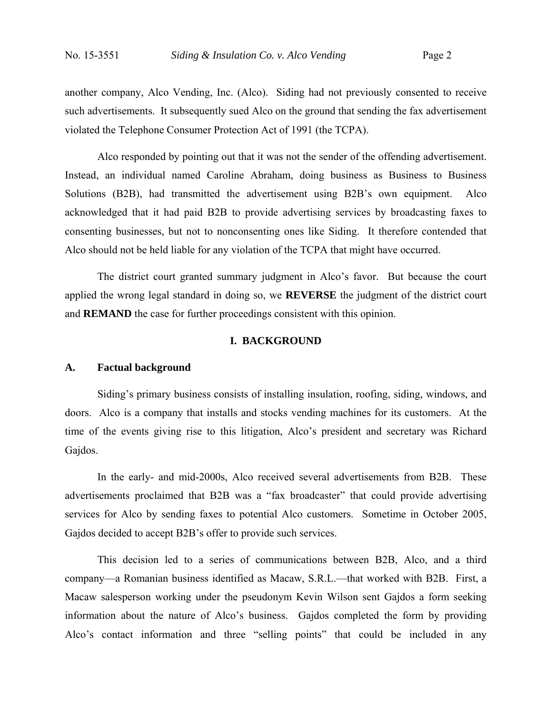another company, Alco Vending, Inc. (Alco). Siding had not previously consented to receive such advertisements. It subsequently sued Alco on the ground that sending the fax advertisement violated the Telephone Consumer Protection Act of 1991 (the TCPA).

Alco responded by pointing out that it was not the sender of the offending advertisement. Instead, an individual named Caroline Abraham, doing business as Business to Business Solutions (B2B), had transmitted the advertisement using B2B's own equipment. Alco acknowledged that it had paid B2B to provide advertising services by broadcasting faxes to consenting businesses, but not to nonconsenting ones like Siding. It therefore contended that Alco should not be held liable for any violation of the TCPA that might have occurred.

The district court granted summary judgment in Alco's favor. But because the court applied the wrong legal standard in doing so, we **REVERSE** the judgment of the district court and **REMAND** the case for further proceedings consistent with this opinion.

#### **I. BACKGROUND**

#### **A. Factual background**

 Siding's primary business consists of installing insulation, roofing, siding, windows, and doors. Alco is a company that installs and stocks vending machines for its customers. At the time of the events giving rise to this litigation, Alco's president and secretary was Richard Gajdos.

In the early- and mid-2000s, Alco received several advertisements from B2B. These advertisements proclaimed that B2B was a "fax broadcaster" that could provide advertising services for Alco by sending faxes to potential Alco customers. Sometime in October 2005, Gajdos decided to accept B2B's offer to provide such services.

 This decision led to a series of communications between B2B, Alco, and a third company—a Romanian business identified as Macaw, S.R.L.—that worked with B2B. First, a Macaw salesperson working under the pseudonym Kevin Wilson sent Gajdos a form seeking information about the nature of Alco's business. Gajdos completed the form by providing Alco's contact information and three "selling points" that could be included in any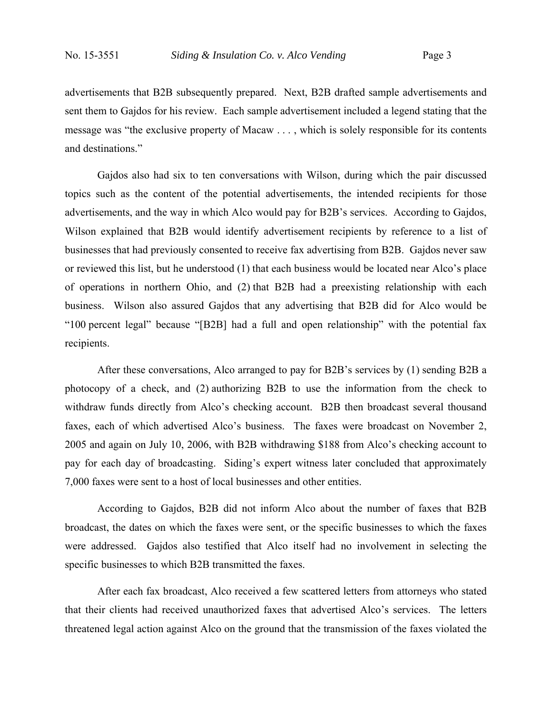advertisements that B2B subsequently prepared. Next, B2B drafted sample advertisements and sent them to Gajdos for his review. Each sample advertisement included a legend stating that the message was "the exclusive property of Macaw . . . , which is solely responsible for its contents and destinations."

 Gajdos also had six to ten conversations with Wilson, during which the pair discussed topics such as the content of the potential advertisements, the intended recipients for those advertisements, and the way in which Alco would pay for B2B's services. According to Gajdos, Wilson explained that B2B would identify advertisement recipients by reference to a list of businesses that had previously consented to receive fax advertising from B2B. Gajdos never saw or reviewed this list, but he understood (1) that each business would be located near Alco's place of operations in northern Ohio, and (2) that B2B had a preexisting relationship with each business. Wilson also assured Gajdos that any advertising that B2B did for Alco would be "100 percent legal" because "[B2B] had a full and open relationship" with the potential fax recipients.

 After these conversations, Alco arranged to pay for B2B's services by (1) sending B2B a photocopy of a check, and (2) authorizing B2B to use the information from the check to withdraw funds directly from Alco's checking account. B2B then broadcast several thousand faxes, each of which advertised Alco's business. The faxes were broadcast on November 2, 2005 and again on July 10, 2006, with B2B withdrawing \$188 from Alco's checking account to pay for each day of broadcasting. Siding's expert witness later concluded that approximately 7,000 faxes were sent to a host of local businesses and other entities.

 According to Gajdos, B2B did not inform Alco about the number of faxes that B2B broadcast, the dates on which the faxes were sent, or the specific businesses to which the faxes were addressed. Gajdos also testified that Alco itself had no involvement in selecting the specific businesses to which B2B transmitted the faxes.

 After each fax broadcast, Alco received a few scattered letters from attorneys who stated that their clients had received unauthorized faxes that advertised Alco's services. The letters threatened legal action against Alco on the ground that the transmission of the faxes violated the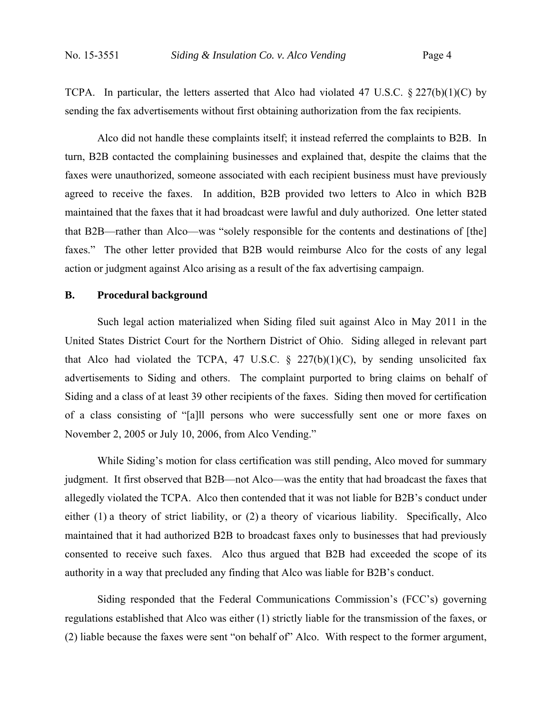TCPA. In particular, the letters asserted that Alco had violated 47 U.S.C.  $\S 227(b)(1)(C)$  by sending the fax advertisements without first obtaining authorization from the fax recipients.

 Alco did not handle these complaints itself; it instead referred the complaints to B2B. In turn, B2B contacted the complaining businesses and explained that, despite the claims that the faxes were unauthorized, someone associated with each recipient business must have previously agreed to receive the faxes. In addition, B2B provided two letters to Alco in which B2B maintained that the faxes that it had broadcast were lawful and duly authorized. One letter stated that B2B—rather than Alco—was "solely responsible for the contents and destinations of [the] faxes." The other letter provided that B2B would reimburse Alco for the costs of any legal action or judgment against Alco arising as a result of the fax advertising campaign.

#### **B. Procedural background**

 Such legal action materialized when Siding filed suit against Alco in May 2011 in the United States District Court for the Northern District of Ohio. Siding alleged in relevant part that Alco had violated the TCPA, 47 U.S.C.  $\S$  227(b)(1)(C), by sending unsolicited fax advertisements to Siding and others. The complaint purported to bring claims on behalf of Siding and a class of at least 39 other recipients of the faxes. Siding then moved for certification of a class consisting of "[a]ll persons who were successfully sent one or more faxes on November 2, 2005 or July 10, 2006, from Alco Vending."

 While Siding's motion for class certification was still pending, Alco moved for summary judgment. It first observed that B2B—not Alco—was the entity that had broadcast the faxes that allegedly violated the TCPA. Alco then contended that it was not liable for B2B's conduct under either (1) a theory of strict liability, or (2) a theory of vicarious liability. Specifically, Alco maintained that it had authorized B2B to broadcast faxes only to businesses that had previously consented to receive such faxes. Alco thus argued that B2B had exceeded the scope of its authority in a way that precluded any finding that Alco was liable for B2B's conduct.

 Siding responded that the Federal Communications Commission's (FCC's) governing regulations established that Alco was either (1) strictly liable for the transmission of the faxes, or (2) liable because the faxes were sent "on behalf of" Alco. With respect to the former argument,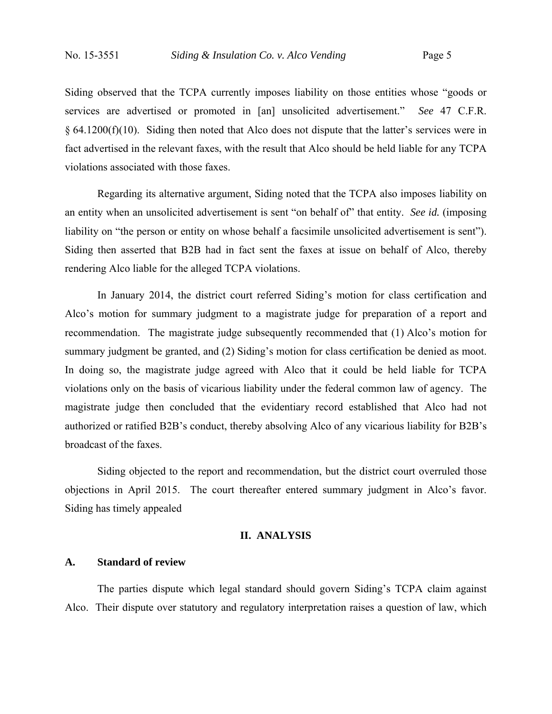Siding observed that the TCPA currently imposes liability on those entities whose "goods or services are advertised or promoted in [an] unsolicited advertisement." *See* 47 C.F.R. § 64.1200(f)(10). Siding then noted that Alco does not dispute that the latter's services were in fact advertised in the relevant faxes, with the result that Alco should be held liable for any TCPA violations associated with those faxes.

 Regarding its alternative argument, Siding noted that the TCPA also imposes liability on an entity when an unsolicited advertisement is sent "on behalf of" that entity. *See id.* (imposing liability on "the person or entity on whose behalf a facsimile unsolicited advertisement is sent"). Siding then asserted that B2B had in fact sent the faxes at issue on behalf of Alco, thereby rendering Alco liable for the alleged TCPA violations.

 In January 2014, the district court referred Siding's motion for class certification and Alco's motion for summary judgment to a magistrate judge for preparation of a report and recommendation. The magistrate judge subsequently recommended that (1) Alco's motion for summary judgment be granted, and (2) Siding's motion for class certification be denied as moot. In doing so, the magistrate judge agreed with Alco that it could be held liable for TCPA violations only on the basis of vicarious liability under the federal common law of agency. The magistrate judge then concluded that the evidentiary record established that Alco had not authorized or ratified B2B's conduct, thereby absolving Alco of any vicarious liability for B2B's broadcast of the faxes.

 Siding objected to the report and recommendation, but the district court overruled those objections in April 2015. The court thereafter entered summary judgment in Alco's favor. Siding has timely appealed

### **II. ANALYSIS**

#### **A. Standard of review**

The parties dispute which legal standard should govern Siding's TCPA claim against Alco. Their dispute over statutory and regulatory interpretation raises a question of law, which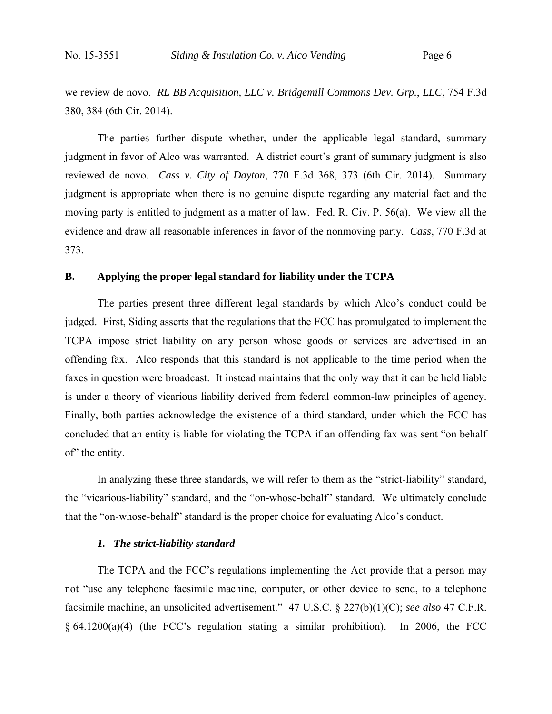we review de novo. *RL BB Acquisition, LLC v. Bridgemill Commons Dev. Grp.*, *LLC*, 754 F.3d 380, 384 (6th Cir. 2014).

The parties further dispute whether, under the applicable legal standard, summary judgment in favor of Alco was warranted. A district court's grant of summary judgment is also reviewed de novo. *Cass v. City of Dayton*, 770 F.3d 368, 373 (6th Cir. 2014). Summary judgment is appropriate when there is no genuine dispute regarding any material fact and the moving party is entitled to judgment as a matter of law. Fed. R. Civ. P. 56(a). We view all the evidence and draw all reasonable inferences in favor of the nonmoving party. *Cass*, 770 F.3d at 373.

#### **B. Applying the proper legal standard for liability under the TCPA**

 The parties present three different legal standards by which Alco's conduct could be judged. First, Siding asserts that the regulations that the FCC has promulgated to implement the TCPA impose strict liability on any person whose goods or services are advertised in an offending fax. Alco responds that this standard is not applicable to the time period when the faxes in question were broadcast. It instead maintains that the only way that it can be held liable is under a theory of vicarious liability derived from federal common-law principles of agency. Finally, both parties acknowledge the existence of a third standard, under which the FCC has concluded that an entity is liable for violating the TCPA if an offending fax was sent "on behalf of" the entity.

 In analyzing these three standards, we will refer to them as the "strict-liability" standard, the "vicarious-liability" standard, and the "on-whose-behalf" standard. We ultimately conclude that the "on-whose-behalf" standard is the proper choice for evaluating Alco's conduct.

#### *1. The strict-liability standard*

The TCPA and the FCC's regulations implementing the Act provide that a person may not "use any telephone facsimile machine, computer, or other device to send, to a telephone facsimile machine, an unsolicited advertisement." 47 U.S.C. § 227(b)(1)(C); *see also* 47 C.F.R. § 64.1200(a)(4) (the FCC's regulation stating a similar prohibition). In 2006, the FCC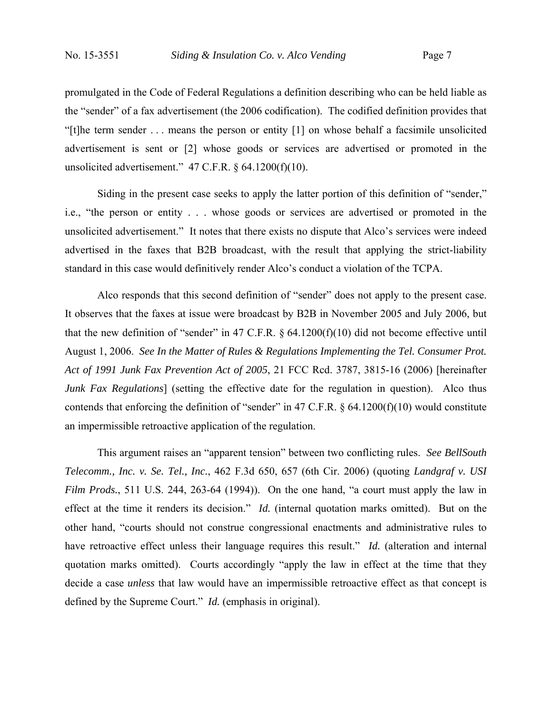promulgated in the Code of Federal Regulations a definition describing who can be held liable as the "sender" of a fax advertisement (the 2006 codification). The codified definition provides that "[t]he term sender . . . means the person or entity [1] on whose behalf a facsimile unsolicited advertisement is sent or [2] whose goods or services are advertised or promoted in the unsolicited advertisement." 47 C.F.R. § 64.1200(f)(10).

Siding in the present case seeks to apply the latter portion of this definition of "sender," i.e., "the person or entity . . . whose goods or services are advertised or promoted in the unsolicited advertisement." It notes that there exists no dispute that Alco's services were indeed advertised in the faxes that B2B broadcast, with the result that applying the strict-liability standard in this case would definitively render Alco's conduct a violation of the TCPA.

Alco responds that this second definition of "sender" does not apply to the present case. It observes that the faxes at issue were broadcast by B2B in November 2005 and July 2006, but that the new definition of "sender" in 47 C.F.R.  $\S$  64.1200(f)(10) did not become effective until August 1, 2006. *See In the Matter of Rules & Regulations Implementing the Tel. Consumer Prot. Act of 1991 Junk Fax Prevention Act of 2005*, 21 FCC Rcd. 3787, 3815-16 (2006) [hereinafter *Junk Fax Regulations*] (setting the effective date for the regulation in question). Alco thus contends that enforcing the definition of "sender" in 47 C.F.R. § 64.1200(f)(10) would constitute an impermissible retroactive application of the regulation.

This argument raises an "apparent tension" between two conflicting rules. *See BellSouth Telecomm., Inc. v. Se. Tel., Inc.*, 462 F.3d 650, 657 (6th Cir. 2006) (quoting *Landgraf v. USI Film Prods.*, 511 U.S. 244, 263-64 (1994)). On the one hand, "a court must apply the law in effect at the time it renders its decision." *Id.* (internal quotation marks omitted). But on the other hand, "courts should not construe congressional enactments and administrative rules to have retroactive effect unless their language requires this result." *Id.* (alteration and internal quotation marks omitted). Courts accordingly "apply the law in effect at the time that they decide a case *unless* that law would have an impermissible retroactive effect as that concept is defined by the Supreme Court." *Id.* (emphasis in original).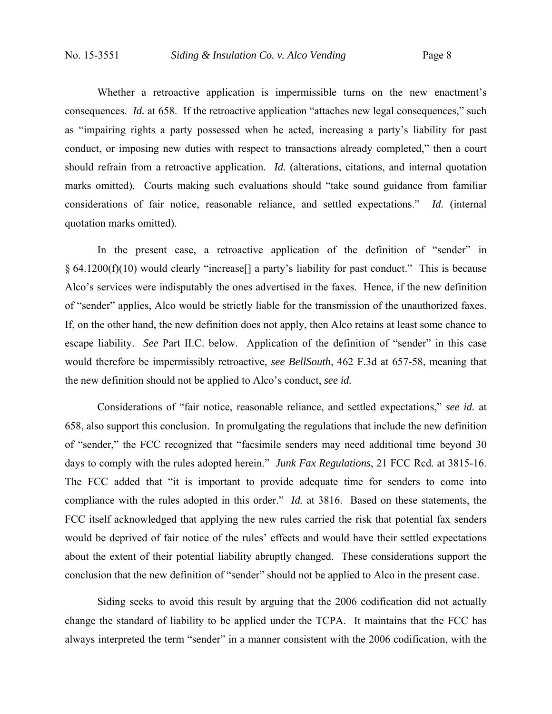Whether a retroactive application is impermissible turns on the new enactment's consequences. *Id.* at 658. If the retroactive application "attaches new legal consequences," such as "impairing rights a party possessed when he acted, increasing a party's liability for past conduct, or imposing new duties with respect to transactions already completed," then a court should refrain from a retroactive application. *Id.* (alterations, citations, and internal quotation marks omitted). Courts making such evaluations should "take sound guidance from familiar considerations of fair notice, reasonable reliance, and settled expectations." *Id.* (internal quotation marks omitted).

In the present case, a retroactive application of the definition of "sender" in § 64.1200(f)(10) would clearly "increase[] a party's liability for past conduct." This is because Alco's services were indisputably the ones advertised in the faxes. Hence, if the new definition of "sender" applies, Alco would be strictly liable for the transmission of the unauthorized faxes. If, on the other hand, the new definition does not apply, then Alco retains at least some chance to escape liability. *See* Part II.C. below. Application of the definition of "sender" in this case would therefore be impermissibly retroactive, *see BellSouth*, 462 F.3d at 657-58, meaning that the new definition should not be applied to Alco's conduct, *see id.*

Considerations of "fair notice, reasonable reliance, and settled expectations," *see id.* at 658, also support this conclusion. In promulgating the regulations that include the new definition of "sender," the FCC recognized that "facsimile senders may need additional time beyond 30 days to comply with the rules adopted herein." *Junk Fax Regulations*, 21 FCC Rcd. at 3815-16. The FCC added that "it is important to provide adequate time for senders to come into compliance with the rules adopted in this order." *Id.* at 3816. Based on these statements, the FCC itself acknowledged that applying the new rules carried the risk that potential fax senders would be deprived of fair notice of the rules' effects and would have their settled expectations about the extent of their potential liability abruptly changed. These considerations support the conclusion that the new definition of "sender" should not be applied to Alco in the present case.

Siding seeks to avoid this result by arguing that the 2006 codification did not actually change the standard of liability to be applied under the TCPA. It maintains that the FCC has always interpreted the term "sender" in a manner consistent with the 2006 codification, with the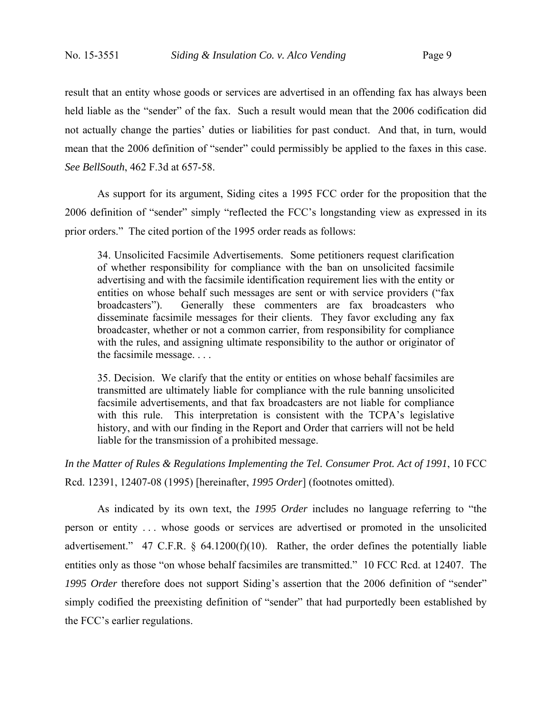result that an entity whose goods or services are advertised in an offending fax has always been held liable as the "sender" of the fax. Such a result would mean that the 2006 codification did not actually change the parties' duties or liabilities for past conduct. And that, in turn, would mean that the 2006 definition of "sender" could permissibly be applied to the faxes in this case. *See BellSouth*, 462 F.3d at 657-58.

As support for its argument, Siding cites a 1995 FCC order for the proposition that the 2006 definition of "sender" simply "reflected the FCC's longstanding view as expressed in its prior orders." The cited portion of the 1995 order reads as follows:

34. Unsolicited Facsimile Advertisements. Some petitioners request clarification of whether responsibility for compliance with the ban on unsolicited facsimile advertising and with the facsimile identification requirement lies with the entity or entities on whose behalf such messages are sent or with service providers ("fax broadcasters"). Generally these commenters are fax broadcasters who disseminate facsimile messages for their clients. They favor excluding any fax broadcaster, whether or not a common carrier, from responsibility for compliance with the rules, and assigning ultimate responsibility to the author or originator of the facsimile message. . . .

35. Decision. We clarify that the entity or entities on whose behalf facsimiles are transmitted are ultimately liable for compliance with the rule banning unsolicited facsimile advertisements, and that fax broadcasters are not liable for compliance with this rule. This interpretation is consistent with the TCPA's legislative history, and with our finding in the Report and Order that carriers will not be held liable for the transmission of a prohibited message.

*In the Matter of Rules & Regulations Implementing the Tel. Consumer Prot. Act of 1991*, 10 FCC Rcd. 12391, 12407-08 (1995) [hereinafter, *1995 Order*] (footnotes omitted).

 As indicated by its own text, the *1995 Order* includes no language referring to "the person or entity . . . whose goods or services are advertised or promoted in the unsolicited advertisement." 47 C.F.R. § 64.1200(f)(10). Rather, the order defines the potentially liable entities only as those "on whose behalf facsimiles are transmitted." 10 FCC Rcd. at 12407. The *1995 Order* therefore does not support Siding's assertion that the 2006 definition of "sender" simply codified the preexisting definition of "sender" that had purportedly been established by the FCC's earlier regulations.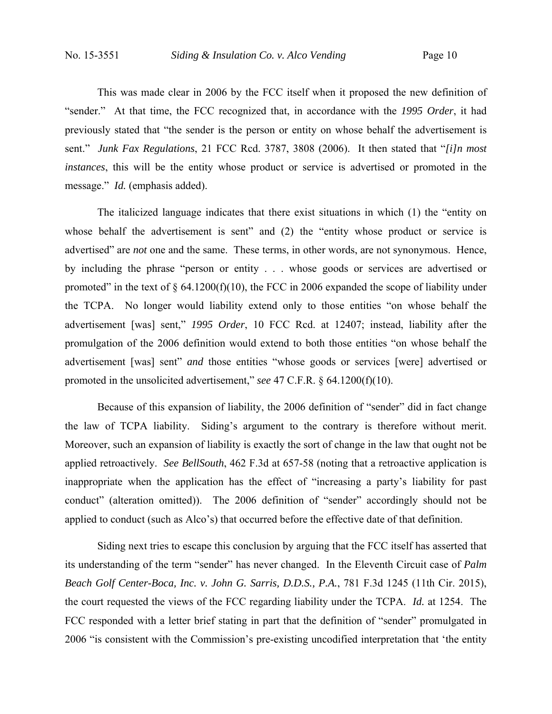This was made clear in 2006 by the FCC itself when it proposed the new definition of "sender." At that time, the FCC recognized that, in accordance with the *1995 Order*, it had previously stated that "the sender is the person or entity on whose behalf the advertisement is sent." *Junk Fax Regulations*, 21 FCC Rcd. 3787, 3808 (2006). It then stated that "*[i]n most instances*, this will be the entity whose product or service is advertised or promoted in the message." *Id.* (emphasis added).

The italicized language indicates that there exist situations in which (1) the "entity on whose behalf the advertisement is sent" and (2) the "entity whose product or service is advertised" are *not* one and the same. These terms, in other words, are not synonymous. Hence, by including the phrase "person or entity . . . whose goods or services are advertised or promoted" in the text of  $\S$  64.1200(f)(10), the FCC in 2006 expanded the scope of liability under the TCPA. No longer would liability extend only to those entities "on whose behalf the advertisement [was] sent," *1995 Order*, 10 FCC Rcd. at 12407; instead, liability after the promulgation of the 2006 definition would extend to both those entities "on whose behalf the advertisement [was] sent" *and* those entities "whose goods or services [were] advertised or promoted in the unsolicited advertisement," *see* 47 C.F.R. § 64.1200(f)(10).

Because of this expansion of liability, the 2006 definition of "sender" did in fact change the law of TCPA liability. Siding's argument to the contrary is therefore without merit. Moreover, such an expansion of liability is exactly the sort of change in the law that ought not be applied retroactively. *See BellSouth*, 462 F.3d at 657-58 (noting that a retroactive application is inappropriate when the application has the effect of "increasing a party's liability for past conduct" (alteration omitted)). The 2006 definition of "sender" accordingly should not be applied to conduct (such as Alco's) that occurred before the effective date of that definition.

Siding next tries to escape this conclusion by arguing that the FCC itself has asserted that its understanding of the term "sender" has never changed. In the Eleventh Circuit case of *Palm Beach Golf Center-Boca, Inc. v. John G. Sarris, D.D.S., P.A.*, 781 F.3d 1245 (11th Cir. 2015), the court requested the views of the FCC regarding liability under the TCPA. *Id.* at 1254. The FCC responded with a letter brief stating in part that the definition of "sender" promulgated in 2006 "is consistent with the Commission's pre-existing uncodified interpretation that 'the entity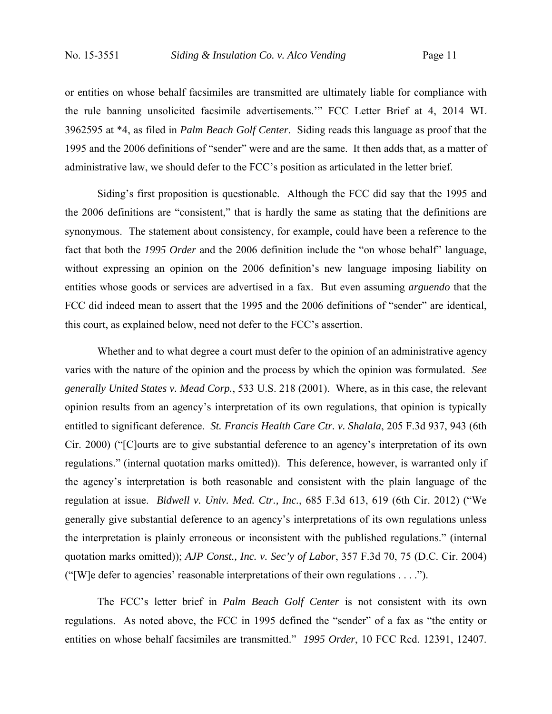or entities on whose behalf facsimiles are transmitted are ultimately liable for compliance with the rule banning unsolicited facsimile advertisements.'" FCC Letter Brief at 4, 2014 WL 3962595 at \*4, as filed in *Palm Beach Golf Center*. Siding reads this language as proof that the 1995 and the 2006 definitions of "sender" were and are the same. It then adds that, as a matter of administrative law, we should defer to the FCC's position as articulated in the letter brief.

Siding's first proposition is questionable. Although the FCC did say that the 1995 and the 2006 definitions are "consistent," that is hardly the same as stating that the definitions are synonymous. The statement about consistency, for example, could have been a reference to the fact that both the *1995 Order* and the 2006 definition include the "on whose behalf" language, without expressing an opinion on the 2006 definition's new language imposing liability on entities whose goods or services are advertised in a fax. But even assuming *arguendo* that the FCC did indeed mean to assert that the 1995 and the 2006 definitions of "sender" are identical, this court, as explained below, need not defer to the FCC's assertion.

Whether and to what degree a court must defer to the opinion of an administrative agency varies with the nature of the opinion and the process by which the opinion was formulated. *See generally United States v. Mead Corp.*, 533 U.S. 218 (2001). Where, as in this case, the relevant opinion results from an agency's interpretation of its own regulations, that opinion is typically entitled to significant deference. *St. Francis Health Care Ctr. v. Shalala*, 205 F.3d 937, 943 (6th Cir. 2000) ("[C]ourts are to give substantial deference to an agency's interpretation of its own regulations." (internal quotation marks omitted)). This deference, however, is warranted only if the agency's interpretation is both reasonable and consistent with the plain language of the regulation at issue. *Bidwell v. Univ. Med. Ctr., Inc.*, 685 F.3d 613, 619 (6th Cir. 2012) ("We generally give substantial deference to an agency's interpretations of its own regulations unless the interpretation is plainly erroneous or inconsistent with the published regulations." (internal quotation marks omitted)); *AJP Const., Inc. v. Sec'y of Labor*, 357 F.3d 70, 75 (D.C. Cir. 2004) ("[W]e defer to agencies' reasonable interpretations of their own regulations . . . .").

The FCC's letter brief in *Palm Beach Golf Center* is not consistent with its own regulations. As noted above, the FCC in 1995 defined the "sender" of a fax as "the entity or entities on whose behalf facsimiles are transmitted." *1995 Order*, 10 FCC Rcd. 12391, 12407.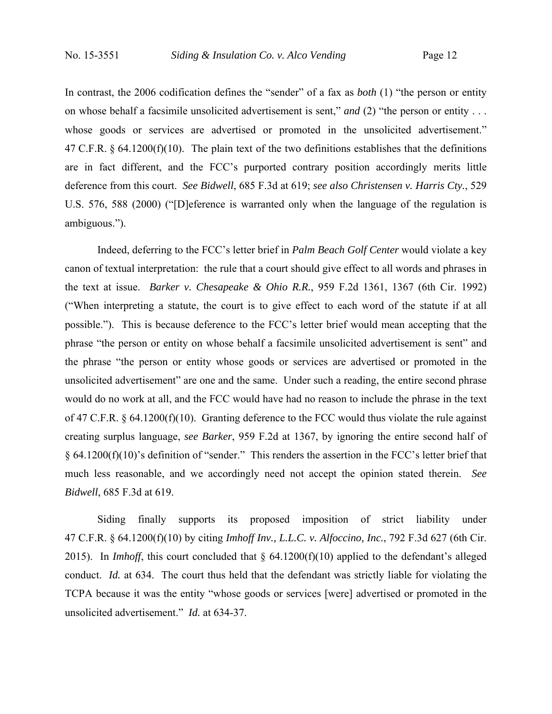In contrast, the 2006 codification defines the "sender" of a fax as *both* (1) "the person or entity on whose behalf a facsimile unsolicited advertisement is sent," *and* (2) "the person or entity . . . whose goods or services are advertised or promoted in the unsolicited advertisement." 47 C.F.R. § 64.1200(f)(10). The plain text of the two definitions establishes that the definitions are in fact different, and the FCC's purported contrary position accordingly merits little deference from this court. *See Bidwell*, 685 F.3d at 619; *see also Christensen v. Harris Cty.*, 529 U.S. 576, 588 (2000) ("[D]eference is warranted only when the language of the regulation is ambiguous.").

Indeed, deferring to the FCC's letter brief in *Palm Beach Golf Center* would violate a key canon of textual interpretation: the rule that a court should give effect to all words and phrases in the text at issue. *Barker v. Chesapeake & Ohio R.R.*, 959 F.2d 1361, 1367 (6th Cir. 1992) ("When interpreting a statute, the court is to give effect to each word of the statute if at all possible."). This is because deference to the FCC's letter brief would mean accepting that the phrase "the person or entity on whose behalf a facsimile unsolicited advertisement is sent" and the phrase "the person or entity whose goods or services are advertised or promoted in the unsolicited advertisement" are one and the same. Under such a reading, the entire second phrase would do no work at all, and the FCC would have had no reason to include the phrase in the text of 47 C.F.R. § 64.1200(f)(10). Granting deference to the FCC would thus violate the rule against creating surplus language, *see Barker*, 959 F.2d at 1367, by ignoring the entire second half of § 64.1200(f)(10)'s definition of "sender." This renders the assertion in the FCC's letter brief that much less reasonable, and we accordingly need not accept the opinion stated therein. *See Bidwell*, 685 F.3d at 619.

Siding finally supports its proposed imposition of strict liability under 47 C.F.R. § 64.1200(f)(10) by citing *Imhoff Inv., L.L.C. v. Alfoccino, Inc.*, 792 F.3d 627 (6th Cir. 2015). In *Imhoff*, this court concluded that § 64.1200(f)(10) applied to the defendant's alleged conduct. *Id.* at 634. The court thus held that the defendant was strictly liable for violating the TCPA because it was the entity "whose goods or services [were] advertised or promoted in the unsolicited advertisement." *Id.* at 634-37.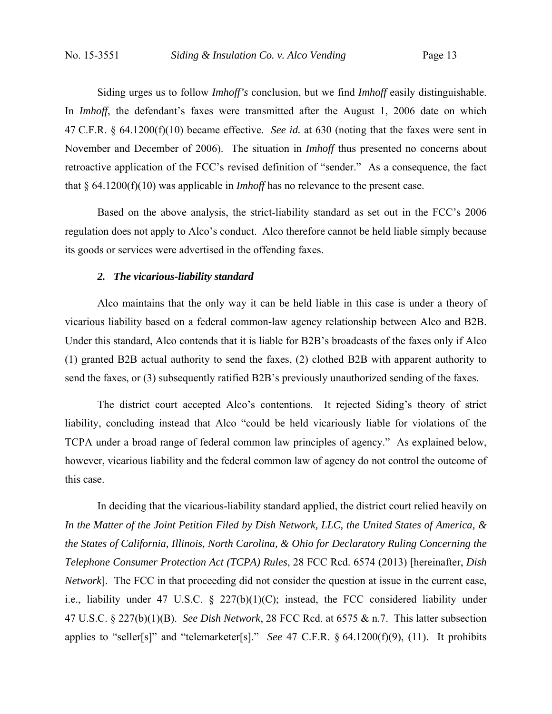Siding urges us to follow *Imhoff's* conclusion, but we find *Imhoff* easily distinguishable. In *Imhoff*, the defendant's faxes were transmitted after the August 1, 2006 date on which 47 C.F.R. § 64.1200(f)(10) became effective. *See id.* at 630 (noting that the faxes were sent in November and December of 2006). The situation in *Imhoff* thus presented no concerns about retroactive application of the FCC's revised definition of "sender." As a consequence, the fact that § 64.1200(f)(10) was applicable in *Imhoff* has no relevance to the present case.

Based on the above analysis, the strict-liability standard as set out in the FCC's 2006 regulation does not apply to Alco's conduct. Alco therefore cannot be held liable simply because its goods or services were advertised in the offending faxes.

#### *2. The vicarious-liability standard*

Alco maintains that the only way it can be held liable in this case is under a theory of vicarious liability based on a federal common-law agency relationship between Alco and B2B. Under this standard, Alco contends that it is liable for B2B's broadcasts of the faxes only if Alco (1) granted B2B actual authority to send the faxes, (2) clothed B2B with apparent authority to send the faxes, or (3) subsequently ratified B2B's previously unauthorized sending of the faxes.

The district court accepted Alco's contentions. It rejected Siding's theory of strict liability, concluding instead that Alco "could be held vicariously liable for violations of the TCPA under a broad range of federal common law principles of agency." As explained below, however, vicarious liability and the federal common law of agency do not control the outcome of this case.

In deciding that the vicarious-liability standard applied, the district court relied heavily on *In the Matter of the Joint Petition Filed by Dish Network, LLC, the United States of America, & the States of California, Illinois, North Carolina, & Ohio for Declaratory Ruling Concerning the Telephone Consumer Protection Act (TCPA) Rules*, 28 FCC Rcd. 6574 (2013) [hereinafter, *Dish Network*]. The FCC in that proceeding did not consider the question at issue in the current case, i.e., liability under 47 U.S.C.  $\S$  227(b)(1)(C); instead, the FCC considered liability under 47 U.S.C. § 227(b)(1)(B). *See Dish Network*, 28 FCC Rcd. at 6575 & n.7. This latter subsection applies to "seller[s]" and "telemarketer[s]." *See* 47 C.F.R. § 64.1200(f)(9), (11). It prohibits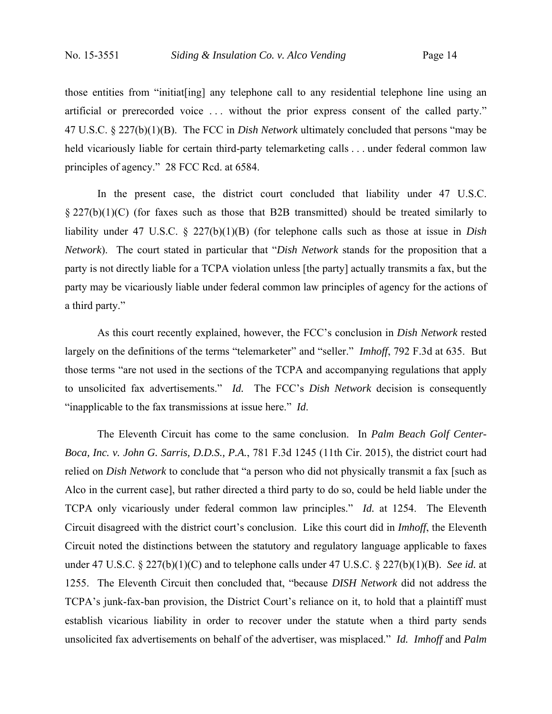those entities from "initiat[ing] any telephone call to any residential telephone line using an artificial or prerecorded voice . . . without the prior express consent of the called party." 47 U.S.C. § 227(b)(1)(B). The FCC in *Dish Network* ultimately concluded that persons "may be held vicariously liable for certain third-party telemarketing calls . . . under federal common law principles of agency." 28 FCC Rcd. at 6584.

 In the present case, the district court concluded that liability under 47 U.S.C.  $\S 227(b)(1)(C)$  (for faxes such as those that B2B transmitted) should be treated similarly to liability under 47 U.S.C. § 227(b)(1)(B) (for telephone calls such as those at issue in *Dish Network*). The court stated in particular that "*Dish Network* stands for the proposition that a party is not directly liable for a TCPA violation unless [the party] actually transmits a fax, but the party may be vicariously liable under federal common law principles of agency for the actions of a third party."

 As this court recently explained, however, the FCC's conclusion in *Dish Network* rested largely on the definitions of the terms "telemarketer" and "seller." *Imhoff*, 792 F.3d at 635. But those terms "are not used in the sections of the TCPA and accompanying regulations that apply to unsolicited fax advertisements." *Id.* The FCC's *Dish Network* decision is consequently "inapplicable to the fax transmissions at issue here." *Id*.

 The Eleventh Circuit has come to the same conclusion. In *Palm Beach Golf Center-Boca, Inc. v. John G. Sarris, D.D.S., P.A.*, 781 F.3d 1245 (11th Cir. 2015), the district court had relied on *Dish Network* to conclude that "a person who did not physically transmit a fax [such as Alco in the current case], but rather directed a third party to do so, could be held liable under the TCPA only vicariously under federal common law principles." *Id.* at 1254. The Eleventh Circuit disagreed with the district court's conclusion. Like this court did in *Imhoff*, the Eleventh Circuit noted the distinctions between the statutory and regulatory language applicable to faxes under 47 U.S.C. § 227(b)(1)(C) and to telephone calls under 47 U.S.C. § 227(b)(1)(B). *See id.* at 1255. The Eleventh Circuit then concluded that, "because *DISH Network* did not address the TCPA's junk-fax-ban provision, the District Court's reliance on it, to hold that a plaintiff must establish vicarious liability in order to recover under the statute when a third party sends unsolicited fax advertisements on behalf of the advertiser, was misplaced." *Id. Imhoff* and *Palm*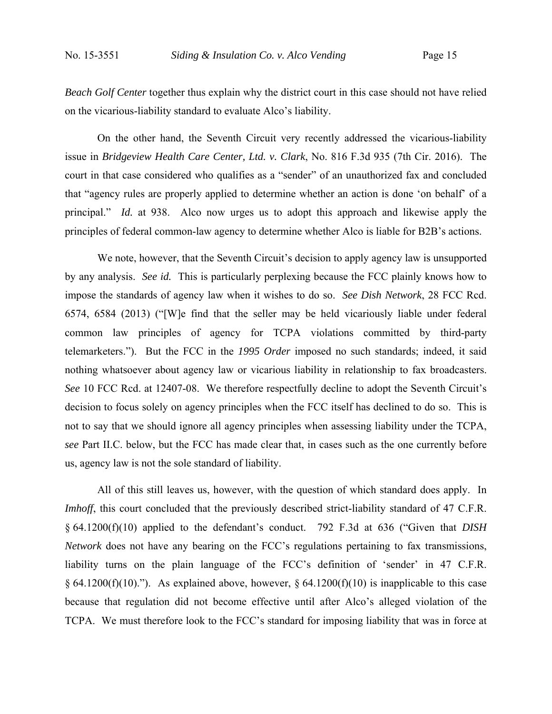*Beach Golf Center* together thus explain why the district court in this case should not have relied on the vicarious-liability standard to evaluate Alco's liability.

 On the other hand, the Seventh Circuit very recently addressed the vicarious-liability issue in *Bridgeview Health Care Center, Ltd. v. Clark*, No. 816 F.3d 935 (7th Cir. 2016). The court in that case considered who qualifies as a "sender" of an unauthorized fax and concluded that "agency rules are properly applied to determine whether an action is done 'on behalf' of a principal." *Id.* at 938. Alco now urges us to adopt this approach and likewise apply the principles of federal common-law agency to determine whether Alco is liable for B2B's actions.

We note, however, that the Seventh Circuit's decision to apply agency law is unsupported by any analysis. *See id.* This is particularly perplexing because the FCC plainly knows how to impose the standards of agency law when it wishes to do so. *See Dish Network*, 28 FCC Rcd. 6574, 6584 (2013) ("[W]e find that the seller may be held vicariously liable under federal common law principles of agency for TCPA violations committed by third-party telemarketers."). But the FCC in the *1995 Order* imposed no such standards; indeed, it said nothing whatsoever about agency law or vicarious liability in relationship to fax broadcasters. *See* 10 FCC Rcd. at 12407-08. We therefore respectfully decline to adopt the Seventh Circuit's decision to focus solely on agency principles when the FCC itself has declined to do so. This is not to say that we should ignore all agency principles when assessing liability under the TCPA, *see* Part II.C. below, but the FCC has made clear that, in cases such as the one currently before us, agency law is not the sole standard of liability.

All of this still leaves us, however, with the question of which standard does apply. In *Imhoff*, this court concluded that the previously described strict-liability standard of 47 C.F.R. § 64.1200(f)(10) applied to the defendant's conduct. 792 F.3d at 636 ("Given that *DISH Network* does not have any bearing on the FCC's regulations pertaining to fax transmissions, liability turns on the plain language of the FCC's definition of 'sender' in 47 C.F.R. § 64.1200(f)(10)."). As explained above, however, § 64.1200(f)(10) is inapplicable to this case because that regulation did not become effective until after Alco's alleged violation of the TCPA. We must therefore look to the FCC's standard for imposing liability that was in force at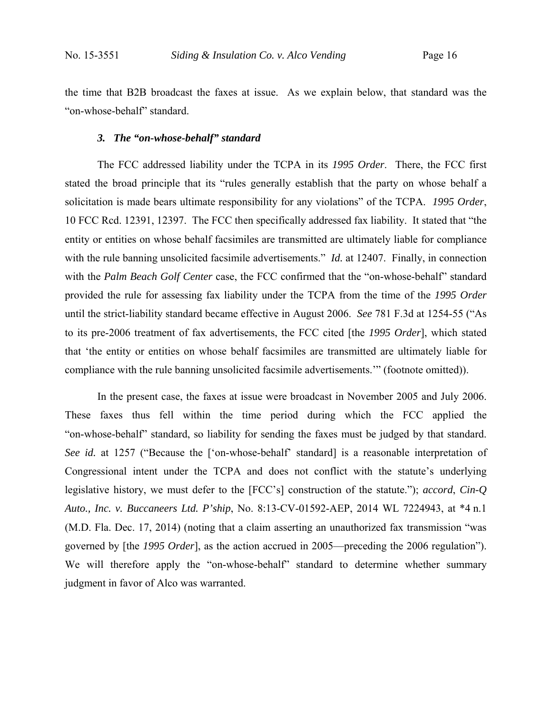the time that B2B broadcast the faxes at issue. As we explain below, that standard was the "on-whose-behalf" standard.

#### *3. The "on-whose-behalf" standard*

The FCC addressed liability under the TCPA in its *1995 Order*. There, the FCC first stated the broad principle that its "rules generally establish that the party on whose behalf a solicitation is made bears ultimate responsibility for any violations" of the TCPA. *1995 Order*, 10 FCC Rcd. 12391, 12397. The FCC then specifically addressed fax liability. It stated that "the entity or entities on whose behalf facsimiles are transmitted are ultimately liable for compliance with the rule banning unsolicited facsimile advertisements." *Id.* at 12407. Finally, in connection with the *Palm Beach Golf Center* case, the FCC confirmed that the "on-whose-behalf" standard provided the rule for assessing fax liability under the TCPA from the time of the *1995 Order*  until the strict-liability standard became effective in August 2006. *See* 781 F.3d at 1254-55 ("As to its pre-2006 treatment of fax advertisements, the FCC cited [the *1995 Order*], which stated that 'the entity or entities on whose behalf facsimiles are transmitted are ultimately liable for compliance with the rule banning unsolicited facsimile advertisements.'" (footnote omitted)).

In the present case, the faxes at issue were broadcast in November 2005 and July 2006. These faxes thus fell within the time period during which the FCC applied the "on-whose-behalf" standard, so liability for sending the faxes must be judged by that standard. *See id.* at 1257 ("Because the ['on-whose-behalf' standard] is a reasonable interpretation of Congressional intent under the TCPA and does not conflict with the statute's underlying legislative history, we must defer to the [FCC's] construction of the statute."); *accord*, *Cin-Q Auto., Inc. v. Buccaneers Ltd. P'ship*, No. 8:13-CV-01592-AEP, 2014 WL 7224943, at \*4 n.1 (M.D. Fla. Dec. 17, 2014) (noting that a claim asserting an unauthorized fax transmission "was governed by [the *1995 Order*], as the action accrued in 2005—preceding the 2006 regulation"). We will therefore apply the "on-whose-behalf" standard to determine whether summary judgment in favor of Alco was warranted.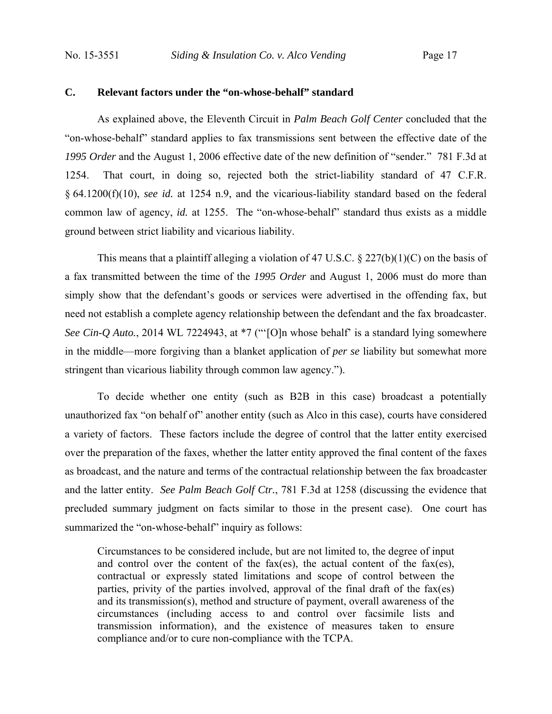### **C. Relevant factors under the "on-whose-behalf" standard**

 As explained above, the Eleventh Circuit in *Palm Beach Golf Center* concluded that the "on-whose-behalf" standard applies to fax transmissions sent between the effective date of the *1995 Order* and the August 1, 2006 effective date of the new definition of "sender." 781 F.3d at 1254. That court, in doing so, rejected both the strict-liability standard of 47 C.F.R. § 64.1200(f)(10), *see id.* at 1254 n.9, and the vicarious-liability standard based on the federal common law of agency, *id.* at 1255. The "on-whose-behalf" standard thus exists as a middle ground between strict liability and vicarious liability.

This means that a plaintiff alleging a violation of 47 U.S.C.  $\S 227(b)(1)(C)$  on the basis of a fax transmitted between the time of the *1995 Order* and August 1, 2006 must do more than simply show that the defendant's goods or services were advertised in the offending fax, but need not establish a complete agency relationship between the defendant and the fax broadcaster. *See Cin-Q Auto.*, 2014 WL 7224943, at \*7 ("'[O]n whose behalf' is a standard lying somewhere in the middle—more forgiving than a blanket application of *per se* liability but somewhat more stringent than vicarious liability through common law agency.").

To decide whether one entity (such as B2B in this case) broadcast a potentially unauthorized fax "on behalf of" another entity (such as Alco in this case), courts have considered a variety of factors. These factors include the degree of control that the latter entity exercised over the preparation of the faxes, whether the latter entity approved the final content of the faxes as broadcast, and the nature and terms of the contractual relationship between the fax broadcaster and the latter entity. *See Palm Beach Golf Ctr.*, 781 F.3d at 1258 (discussing the evidence that precluded summary judgment on facts similar to those in the present case). One court has summarized the "on-whose-behalf" inquiry as follows:

Circumstances to be considered include, but are not limited to, the degree of input and control over the content of the fax(es), the actual content of the fax(es), contractual or expressly stated limitations and scope of control between the parties, privity of the parties involved, approval of the final draft of the fax(es) and its transmission(s), method and structure of payment, overall awareness of the circumstances (including access to and control over facsimile lists and transmission information), and the existence of measures taken to ensure compliance and/or to cure non-compliance with the TCPA.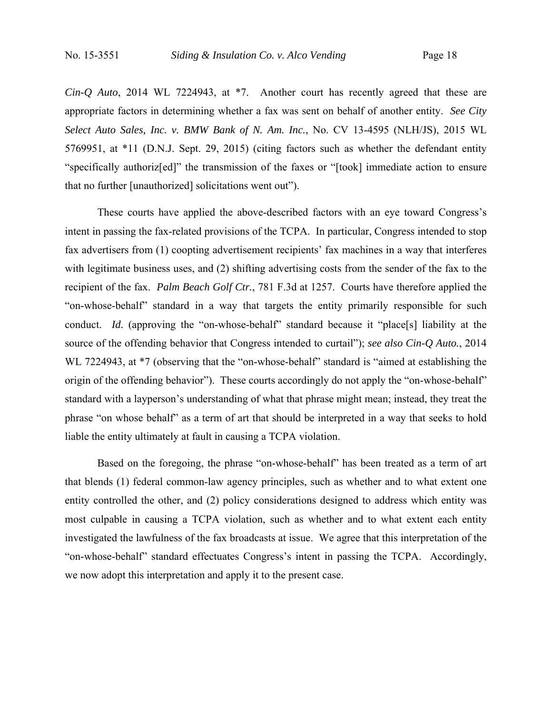*Cin-Q Auto*, 2014 WL 7224943, at \*7. Another court has recently agreed that these are appropriate factors in determining whether a fax was sent on behalf of another entity. *See City Select Auto Sales, Inc. v. BMW Bank of N. Am. Inc.*, No. CV 13-4595 (NLH/JS), 2015 WL 5769951, at \*11 (D.N.J. Sept. 29, 2015) (citing factors such as whether the defendant entity "specifically authoriz[ed]" the transmission of the faxes or "[took] immediate action to ensure that no further [unauthorized] solicitations went out").

These courts have applied the above-described factors with an eye toward Congress's intent in passing the fax-related provisions of the TCPA. In particular, Congress intended to stop fax advertisers from (1) coopting advertisement recipients' fax machines in a way that interferes with legitimate business uses, and (2) shifting advertising costs from the sender of the fax to the recipient of the fax. *Palm Beach Golf Ctr.*, 781 F.3d at 1257. Courts have therefore applied the "on-whose-behalf" standard in a way that targets the entity primarily responsible for such conduct. *Id.* (approving the "on-whose-behalf" standard because it "place[s] liability at the source of the offending behavior that Congress intended to curtail"); *see also Cin-Q Auto.*, 2014 WL 7224943, at  $*7$  (observing that the "on-whose-behalf" standard is "aimed at establishing the origin of the offending behavior"). These courts accordingly do not apply the "on-whose-behalf" standard with a layperson's understanding of what that phrase might mean; instead, they treat the phrase "on whose behalf" as a term of art that should be interpreted in a way that seeks to hold liable the entity ultimately at fault in causing a TCPA violation.

Based on the foregoing, the phrase "on-whose-behalf" has been treated as a term of art that blends (1) federal common-law agency principles, such as whether and to what extent one entity controlled the other, and (2) policy considerations designed to address which entity was most culpable in causing a TCPA violation, such as whether and to what extent each entity investigated the lawfulness of the fax broadcasts at issue. We agree that this interpretation of the "on-whose-behalf" standard effectuates Congress's intent in passing the TCPA. Accordingly, we now adopt this interpretation and apply it to the present case.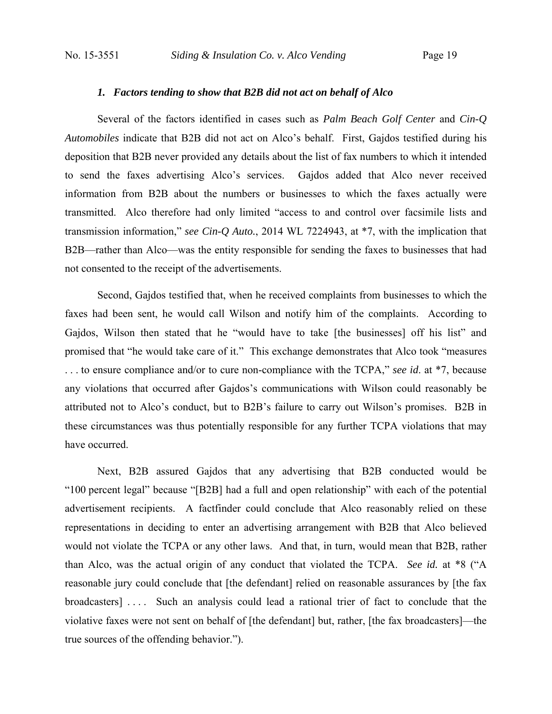#### *1. Factors tending to show that B2B did not act on behalf of Alco*

 Several of the factors identified in cases such as *Palm Beach Golf Center* and *Cin-Q Automobiles* indicate that B2B did not act on Alco's behalf. First, Gajdos testified during his deposition that B2B never provided any details about the list of fax numbers to which it intended to send the faxes advertising Alco's services. Gajdos added that Alco never received information from B2B about the numbers or businesses to which the faxes actually were transmitted. Alco therefore had only limited "access to and control over facsimile lists and transmission information," *see Cin-Q Auto.*, 2014 WL 7224943, at \*7, with the implication that B2B—rather than Alco—was the entity responsible for sending the faxes to businesses that had not consented to the receipt of the advertisements.

 Second, Gajdos testified that, when he received complaints from businesses to which the faxes had been sent, he would call Wilson and notify him of the complaints. According to Gajdos, Wilson then stated that he "would have to take [the businesses] off his list" and promised that "he would take care of it." This exchange demonstrates that Alco took "measures . . . to ensure compliance and/or to cure non-compliance with the TCPA," *see id*. at \*7, because any violations that occurred after Gajdos's communications with Wilson could reasonably be attributed not to Alco's conduct, but to B2B's failure to carry out Wilson's promises. B2B in these circumstances was thus potentially responsible for any further TCPA violations that may have occurred.

 Next, B2B assured Gajdos that any advertising that B2B conducted would be "100 percent legal" because "[B2B] had a full and open relationship" with each of the potential advertisement recipients. A factfinder could conclude that Alco reasonably relied on these representations in deciding to enter an advertising arrangement with B2B that Alco believed would not violate the TCPA or any other laws. And that, in turn, would mean that B2B, rather than Alco, was the actual origin of any conduct that violated the TCPA. *See id.* at \*8 ("A reasonable jury could conclude that [the defendant] relied on reasonable assurances by [the fax broadcasters] . . . . Such an analysis could lead a rational trier of fact to conclude that the violative faxes were not sent on behalf of [the defendant] but, rather, [the fax broadcasters]—the true sources of the offending behavior.").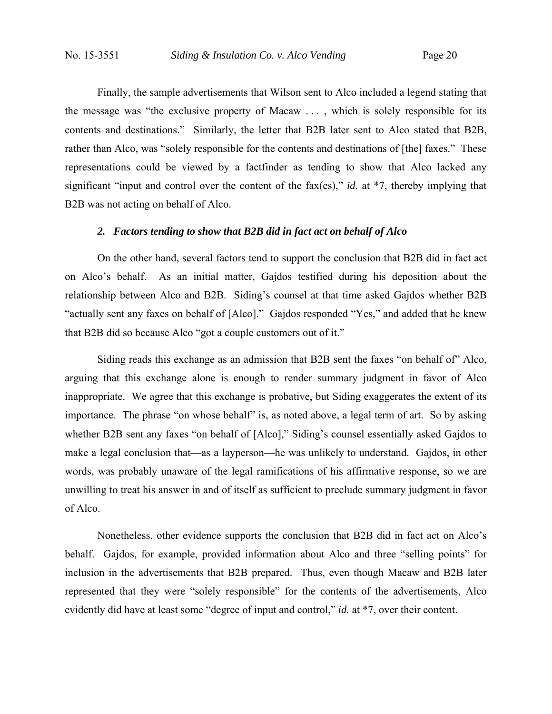Finally, the sample advertisements that Wilson sent to Alco included a legend stating that the message was "the exclusive property of Macaw . . . , which is solely responsible for its contents and destinations." Similarly, the letter that B2B later sent to Alco stated that B2B, rather than Alco, was "solely responsible for the contents and destinations of [the] faxes." These representations could be viewed by a factfinder as tending to show that Alco lacked any significant "input and control over the content of the fax(es)," *id.* at \*7, thereby implying that B2B was not acting on behalf of Alco.

#### *2. Factors tending to show that B2B did in fact act on behalf of Alco*

On the other hand, several factors tend to support the conclusion that B2B did in fact act on Alco's behalf. As an initial matter, Gajdos testified during his deposition about the relationship between Alco and B2B. Siding's counsel at that time asked Gajdos whether B2B "actually sent any faxes on behalf of [Alco]." Gajdos responded "Yes," and added that he knew that B2B did so because Alco "got a couple customers out of it."

Siding reads this exchange as an admission that B2B sent the faxes "on behalf of" Alco, arguing that this exchange alone is enough to render summary judgment in favor of Alco inappropriate. We agree that this exchange is probative, but Siding exaggerates the extent of its importance. The phrase "on whose behalf" is, as noted above, a legal term of art. So by asking whether B2B sent any faxes "on behalf of [Alco]," Siding's counsel essentially asked Gajdos to make a legal conclusion that—as a layperson—he was unlikely to understand. Gajdos, in other words, was probably unaware of the legal ramifications of his affirmative response, so we are unwilling to treat his answer in and of itself as sufficient to preclude summary judgment in favor of Alco.

Nonetheless, other evidence supports the conclusion that B2B did in fact act on Alco's behalf. Gajdos, for example, provided information about Alco and three "selling points" for inclusion in the advertisements that B2B prepared. Thus, even though Macaw and B2B later represented that they were "solely responsible" for the contents of the advertisements, Alco evidently did have at least some "degree of input and control," *id.* at \*7, over their content.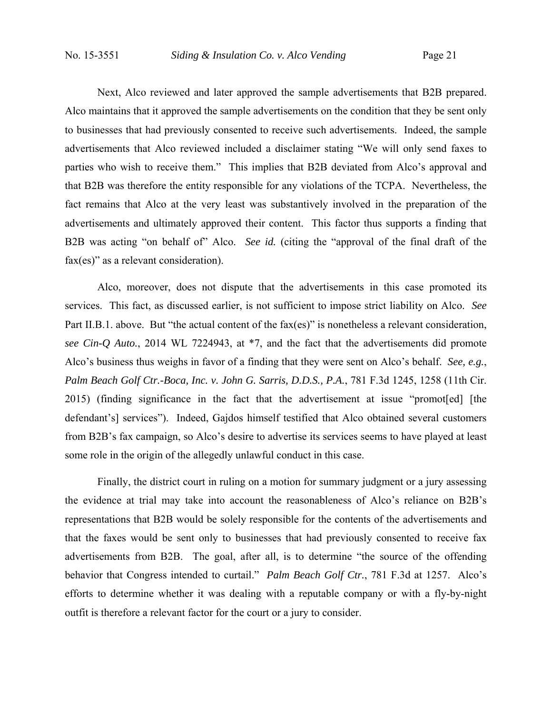Next, Alco reviewed and later approved the sample advertisements that B2B prepared. Alco maintains that it approved the sample advertisements on the condition that they be sent only to businesses that had previously consented to receive such advertisements. Indeed, the sample advertisements that Alco reviewed included a disclaimer stating "We will only send faxes to parties who wish to receive them." This implies that B2B deviated from Alco's approval and that B2B was therefore the entity responsible for any violations of the TCPA. Nevertheless, the fact remains that Alco at the very least was substantively involved in the preparation of the advertisements and ultimately approved their content. This factor thus supports a finding that B2B was acting "on behalf of" Alco. *See id.* (citing the "approval of the final draft of the fax(es)" as a relevant consideration).

Alco, moreover, does not dispute that the advertisements in this case promoted its services. This fact, as discussed earlier, is not sufficient to impose strict liability on Alco. *See* Part II.B.1. above. But "the actual content of the fax(es)" is nonetheless a relevant consideration, *see Cin-Q Auto.*, 2014 WL 7224943, at \*7, and the fact that the advertisements did promote Alco's business thus weighs in favor of a finding that they were sent on Alco's behalf. *See, e.g.*, *Palm Beach Golf Ctr.-Boca, Inc. v. John G. Sarris, D.D.S., P.A.*, 781 F.3d 1245, 1258 (11th Cir. 2015) (finding significance in the fact that the advertisement at issue "promot[ed] [the defendant's] services"). Indeed, Gajdos himself testified that Alco obtained several customers from B2B's fax campaign, so Alco's desire to advertise its services seems to have played at least some role in the origin of the allegedly unlawful conduct in this case.

Finally, the district court in ruling on a motion for summary judgment or a jury assessing the evidence at trial may take into account the reasonableness of Alco's reliance on B2B's representations that B2B would be solely responsible for the contents of the advertisements and that the faxes would be sent only to businesses that had previously consented to receive fax advertisements from B2B. The goal, after all, is to determine "the source of the offending behavior that Congress intended to curtail." *Palm Beach Golf Ctr.*, 781 F.3d at 1257. Alco's efforts to determine whether it was dealing with a reputable company or with a fly-by-night outfit is therefore a relevant factor for the court or a jury to consider.